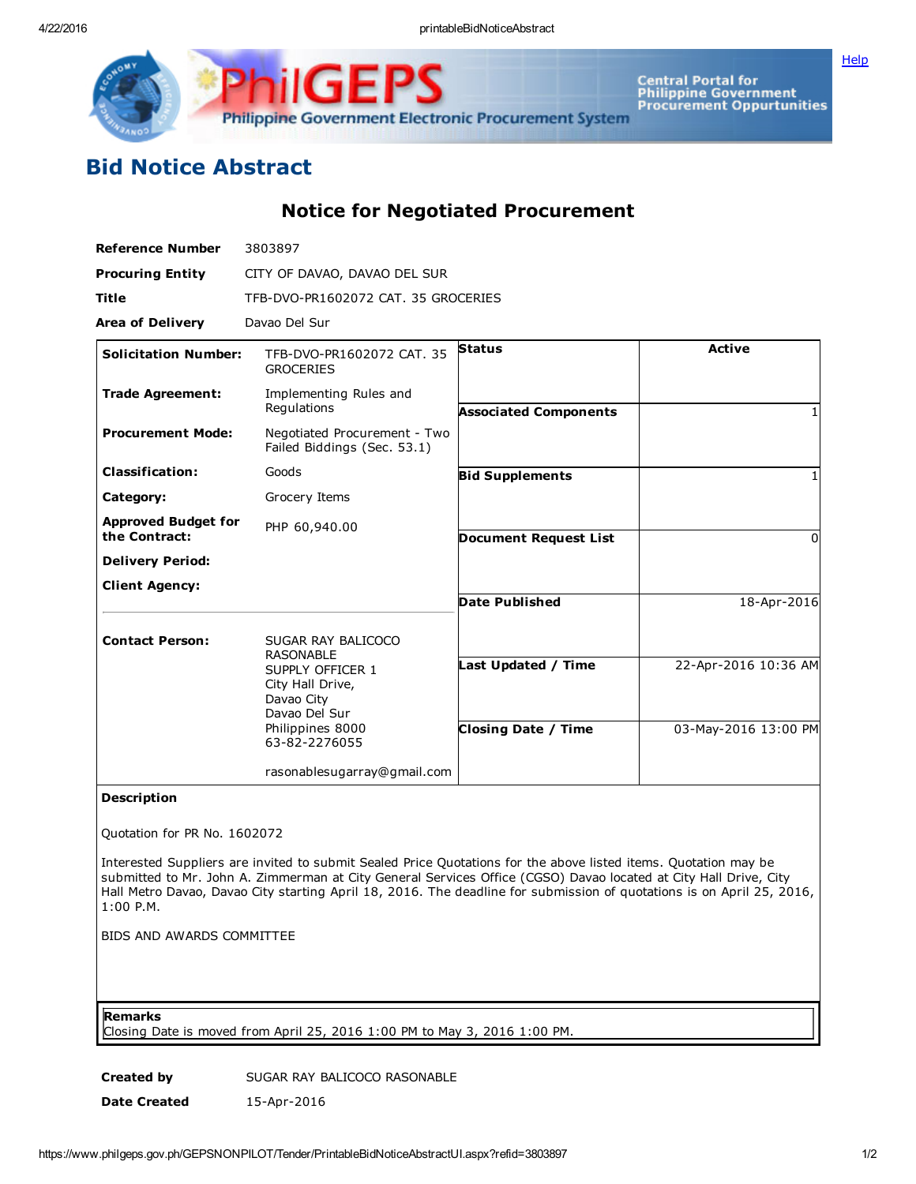

GF Philippine Government Electronic Procurement System

Central Portal for<br>Philippine Government<br>Procurement Oppurtunities

## Bid Notice Abstract

Notice for Negotiated Procurement

| <b>Reference Number</b>                     | 3803897                                                                                                  |                              |                      |
|---------------------------------------------|----------------------------------------------------------------------------------------------------------|------------------------------|----------------------|
| <b>Procuring Entity</b>                     | CITY OF DAVAO, DAVAO DEL SUR                                                                             |                              |                      |
| <b>Title</b>                                | TFB-DVO-PR1602072 CAT, 35 GROCERIES                                                                      |                              |                      |
| <b>Area of Delivery</b>                     | Davao Del Sur                                                                                            |                              |                      |
| <b>Solicitation Number:</b>                 | TFB-DVO-PR1602072 CAT, 35<br><b>GROCERIES</b>                                                            | <b>Status</b>                | <b>Active</b>        |
| <b>Trade Agreement:</b>                     | Implementing Rules and<br>Regulations                                                                    | <b>Associated Components</b> |                      |
| <b>Procurement Mode:</b>                    | Negotiated Procurement - Two<br>Failed Biddings (Sec. 53.1)                                              |                              |                      |
| <b>Classification:</b>                      | Goods                                                                                                    | <b>Bid Supplements</b>       |                      |
| Category:                                   | Grocery Items                                                                                            |                              |                      |
| <b>Approved Budget for</b><br>the Contract: | PHP 60,940.00                                                                                            | <b>Document Request List</b> | 0                    |
| <b>Delivery Period:</b>                     |                                                                                                          |                              |                      |
| <b>Client Agency:</b>                       |                                                                                                          |                              |                      |
|                                             |                                                                                                          | <b>Date Published</b>        | 18-Apr-2016          |
| <b>Contact Person:</b>                      | SUGAR RAY BALICOCO<br><b>RASONABLE</b>                                                                   |                              |                      |
|                                             | SUPPLY OFFICER 1<br>City Hall Drive,<br>Davao City<br>Davao Del Sur<br>Philippines 8000<br>63-82-2276055 | Last Updated / Time          | 22-Apr-2016 10:36 AM |
|                                             |                                                                                                          | <b>Closing Date / Time</b>   | 03-May-2016 13:00 PM |
|                                             | rasonablesugarray@gmail.com                                                                              |                              |                      |
|                                             |                                                                                                          |                              |                      |

## Description

Quotation for PR No. 1602072

Interested Suppliers are invited to submit Sealed Price Quotations for the above listed items. Quotation may be submitted to Mr. John A. Zimmerman at City General Services Office (CGSO) Davao located at City Hall Drive, City Hall Metro Davao, Davao City starting April 18, 2016. The deadline for submission of quotations is on April 25, 2016, 1:00 P.M.

BIDS AND AWARDS COMMITTEE

Remarks

Closing Date is moved from April 25, 2016 1:00 PM to May 3, 2016 1:00 PM.

Created by SUGAR RAY BALICOCO RASONABLE Date Created 15-Apr-2016